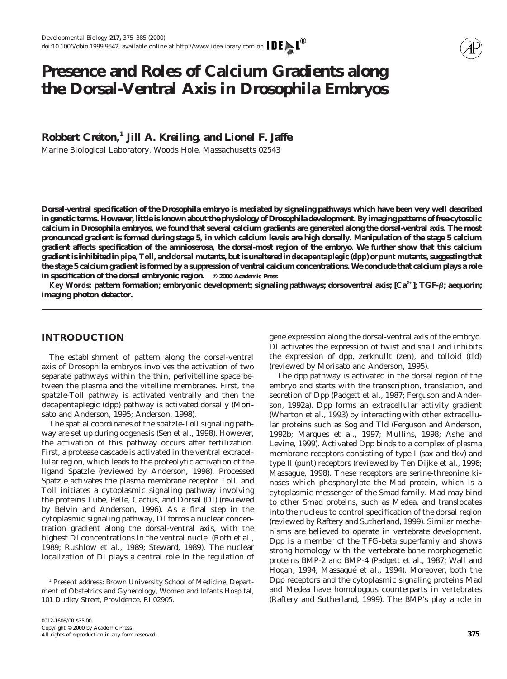# **Presence and Roles of Calcium Gradients along the Dorsal-Ventral Axis in Drosophila Embryos**

## Robbert Créton,<sup>1</sup> Jill A. Kreiling, and Lionel F. Jaffe

*Marine Biological Laboratory, Woods Hole, Massachusetts 02543*

**Dorsal-ventral specification of the Drosophila embryo is mediated by signaling pathways which have been very well described in genetic terms. However, little is known about the physiology of Drosophila development. By imaging patterns of free cytosolic calcium in Drosophila embryos, we found that several calcium gradients are generated along the dorsal-ventral axis. The most pronounced gradient is formed during stage 5, in which calcium levels are high dorsally. Manipulation of the stage 5 calcium gradient affects specification of the amnioserosa, the dorsal-most region of the embryo. We further show that this calcium gradient is inhibited in** *pipe, Toll,* **and** *dorsal* **mutants, but is unaltered in** *decapentaplegic (dpp)* **or** *punt* **mutants, suggesting that the stage 5 calcium gradient is formed by a suppression of ventral calcium concentrations. We conclude that calcium plays a role in specification of the dorsal embryonic region. © 2000 Academic Press**

*Key Words:* **pattern formation; embryonic development; signaling pathways; dorsoventral axis; [Ca<sup>2</sup>**<sup>1</sup>**]; TGF-**b**; aequorin; imaging photon detector.**

#### **INTRODUCTION**

The establishment of pattern along the dorsal-ventral axis of Drosophila embryos involves the activation of two separate pathways within the thin, perivitelline space between the plasma and the vitelline membranes. First, the *spatzle-Toll* pathway is activated ventrally and then the *decapentaplegic (dpp)* pathway is activated dorsally (Morisato and Anderson, 1995; Anderson, 1998).

The spatial coordinates of the *spatzle-Toll* signaling pathway are set up during oogenesis (Sen *et al.,* 1998). However, the activation of this pathway occurs after fertilization. First, a protease cascade is activated in the ventral extracellular region, which leads to the proteolytic activation of the ligand Spatzle (reviewed by Anderson, 1998). Processed Spatzle activates the plasma membrane receptor Toll, and Toll initiates a cytoplasmic signaling pathway involving the proteins Tube, Pelle, Cactus, and Dorsal (Dl) (reviewed by Belvin and Anderson, 1996). As a final step in the cytoplasmic signaling pathway, Dl forms a nuclear concentration gradient along the dorsal-ventral axis, with the highest Dl concentrations in the ventral nuclei (Roth *et al.,* 1989; Rushlow *et al.,* 1989; Steward, 1989). The nuclear localization of Dl plays a central role in the regulation of

<sup>1</sup> Present address: Brown University School of Medicine, Department of Obstetrics and Gynecology, Women and Infants Hospital, 101 Dudley Street, Providence, RI 02905.

gene expression along the dorsal-ventral axis of the embryo. Dl activates the expression of *twist* and *snail* and inhibits the expression of *dpp, zerknullt (zen),* and *tolloid (tld)* (reviewed by Morisato and Anderson, 1995).

The *dpp* pathway is activated in the dorsal region of the embryo and starts with the transcription, translation, and secretion of Dpp (Padgett *et al.,* 1987; Ferguson and Anderson, 1992a). Dpp forms an extracellular activity gradient (Wharton *et al.,* 1993) by interacting with other extracellular proteins such as Sog and Tld (Ferguson and Anderson, 1992b; Marques *et al.,* 1997; Mullins, 1998; Ashe and Levine, 1999). Activated Dpp binds to a complex of plasma membrane receptors consisting of type I (sax and tkv) and type II (punt) receptors (reviewed by Ten Dijke *et al.,* 1996; Massague, 1998). These receptors are serine-threonine kinases which phosphorylate the Mad protein, which is a cytoplasmic messenger of the Smad family. Mad may bind to other Smad proteins, such as Medea, and translocates into the nucleus to control specification of the dorsal region (reviewed by Raftery and Sutherland, 1999). Similar mechanisms are believed to operate in vertebrate development. Dpp is a member of the TFG-beta superfamiy and shows strong homology with the vertebrate bone morphogenetic proteins BMP-2 and BMP-4 (Padgett *et al.,* 1987; Wall and Hogan, 1994; Massagué *et al.*, 1994). Moreover, both the Dpp receptors and the cytoplasmic signaling proteins Mad and Medea have homologous counterparts in vertebrates (Raftery and Sutherland, 1999). The BMP's play a role in

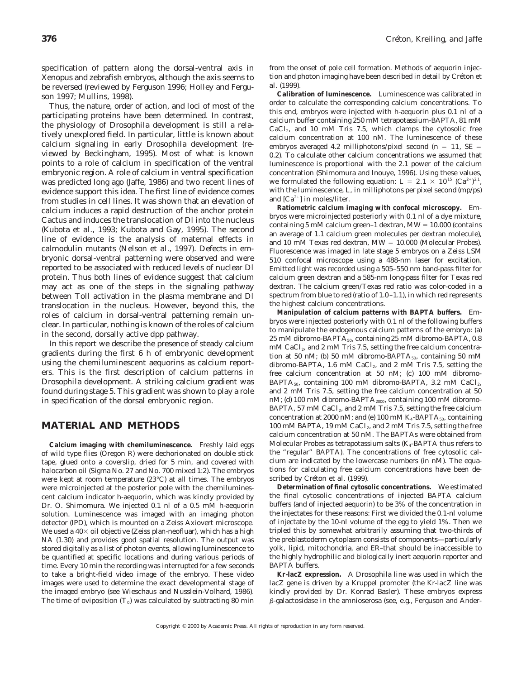specification of pattern along the dorsal-ventral axis in Xenopus and zebrafish embryos, although the axis seems to be reversed (reviewed by Ferguson 1996; Holley and Ferguson 1997; Mullins, 1998).

Thus, the nature, order of action, and loci of most of the participating proteins have been determined. In contrast, the physiology of Drosophila development is still a relatively unexplored field. In particular, little is known about calcium signaling in early Drosophila development (reviewed by Beckingham, 1995). Most of what is known points to a role of calcium in specification of the ventral embryonic region. A role of calcium in ventral specification was predicted long ago (Jaffe, 1986) and two recent lines of evidence support this idea. The first line of evidence comes from studies in cell lines. It was shown that an elevation of calcium induces a rapid destruction of the anchor protein Cactus and induces the translocation of Dl into the nucleus (Kubota *et al.,* 1993; Kubota and Gay, 1995). The second line of evidence is the analysis of maternal effects in calmodulin mutants (Nelson *et al.,* 1997). Defects in embryonic dorsal-ventral patterning were observed and were reported to be associated with reduced levels of nuclear Dl protein. Thus both lines of evidence suggest that calcium may act as one of the steps in the signaling pathway between Toll activation in the plasma membrane and Dl translocation in the nucleus. However, beyond this, the roles of calcium in dorsal-ventral patterning remain unclear. In particular, nothing is known of the roles of calcium in the second, dorsally active *dpp* pathway.

In this report we describe the presence of steady calcium gradients during the first 6 h of embryonic development using the chemiluminescent aequorins as calcium reporters. This is the first description of calcium patterns in Drosophila development. A striking calcium gradient was found during stage 5. This gradient was shown to play a role in specification of the dorsal embryonic region.

#### **MATERIAL AND METHODS**

*Calcium imaging with chemiluminescence.* Freshly laid eggs of wild type flies (Oregon R) were dechorionated on double stick tape, glued onto a coverslip, dried for 5 min, and covered with halocarbon oil (Sigma No. 27 and No. 700 mixed 1:2). The embryos were kept at room temperature (23°C) at all times. The embryos were microinjected at the posterior pole with the chemiluminescent calcium indicator *h*-aequorin, which was kindly provided by Dr. O. Shimomura. We injected 0.1 nl of a 0.5 mM *h*-aequorin solution. Luminescence was imaged with an imaging photon detector (IPD), which is mounted on a Zeiss Axiovert microscope. We used a  $40\times$  oil objective (Zeiss plan-neofluar), which has a high NA (1.30) and provides good spatial resolution. The output was stored digitally as a list of photon events, allowing luminescence to be quantified at specific locations and during various periods of time. Every 10 min the recording was interrupted for a few seconds to take a bright-field video image of the embryo. These video images were used to determine the exact developmental stage of the imaged embryo (see Wieschaus and Nusslein-Volhard, 1986). The time of oviposition  $(T_0)$  was calculated by subtracting 80 min from the onset of pole cell formation. Methods of aequorin injection and photon imaging have been described in detail by Créton et *al.* (1999).

*Calibration of luminescence.* Luminescence was calibrated in order to calculate the corresponding calcium concentrations. To this end, embryos were injected with *h*-aequorin plus 0.1 nl of a calcium buffer containing 250 mM tetrapotassium-BAPTA, 81 mM  $CaCl<sub>2</sub>$ , and 10 mM Tris 7.5, which clamps the cytosolic free calcium concentration at 100 nM. The luminescence of these embryos averaged 4.2 milliphotons/pixel second  $(n = 11, SE = 11)$ 0.2). To calculate other calcium concentrations we assumed that luminescence is proportional with the 2.1 power of the calcium concentration (Shimomura and Inouye, 1996). Using these values, we formulated the following equation:  $L = 2.1 \times 10^{15}$  (Ca<sup>2+</sup>)<sup>2.1</sup>, with the luminescence, *L*, in milliphotons per pixel second (mp/ps) and  $[Ca^{2+}]$  in moles/liter.

*Ratiometric calcium imaging with confocal microscopy.* Embryos were microinjected posteriorly with 0.1 nl of a dye mixture, containing 5 mM calcium green-1 dextran,  $MW = 10.000$  (contains an average of 1.1 calcium green molecules per dextran molecule), and 10 mM Texas red dextran,  $MW = 10.000$  (Molecular Probes). Fluorescence was imaged in late stage 5 embryos on a Zeiss LSM 510 confocal microscope using a 488-nm laser for excitation. Emitted light was recorded using a 505–550 nm band-pass filter for calcium green dextran and a 585-nm long-pass filter for Texas red dextran. The calcium green/Texas red ratio was color-coded in a spectrum from blue to red (ratio of 1.0–1.1), in which red represents the highest calcium concentrations.

*Manipulation of calcium patterns with BAPTA buffers.* Embryos were injected posteriorly with 0.1 nl of the following buffers to manipulate the endogenous calcium patterns of the embryo: (a) 25 mM dibromo-BAPTA<sub>50</sub>, containing 25 mM dibromo-BAPTA, 0.8 mM CaCl<sub>2</sub>, and 2 mM Tris 7.5, setting the free calcium concentration at 50 nM; (b) 50 mM dibromo-BAPTA $_{50}$ , containing 50 mM dibromo-BAPTA, 1.6 mM  $CaCl<sub>2</sub>$ , and 2 mM Tris 7.5, setting the free calcium concentration at 50 nM; (c) 100 mM dibromo-BAPTA<sub>50</sub>, containing 100 mM dibromo-BAPTA, 3.2 mM CaCl<sub>2</sub>, and 2 mM Tris 7.5, setting the free calcium concentration at 50 nM; (d) 100 mM dibromo-BAPTA<sub>2000</sub>, containing 100 mM dibromo-BAPTA, 57 mM  $CaCl<sub>2</sub>$ , and 2 mM Tris 7.5, setting the free calcium concentration at 2000 nM; and (e) 100 mM  $K_4$ -BAPTA<sub>50</sub>, containing 100 mM BAPTA, 19 mM CaCl<sub>2</sub>, and 2 mM Tris 7.5, setting the free calcium concentration at 50 nM. The BAPTAs were obtained from Molecular Probes as tetrapotassium salts  $(K_4$ -BAPTA thus refers to the "regular" BAPTA). The concentrations of free cytosolic calcium are indicated by the lowercase numbers (in nM). The equations for calculating free calcium concentrations have been described by Créton et al. (1999).

*Determination of final cytosolic concentrations.* We estimated the final cytosolic concentrations of injected BAPTA calcium buffers (and of injected aequorin) to be 3% of the concentration in the injectates for these reasons: First we divided the 0.1-nl volume of injectate by the 10-nl volume of the egg to yield 1%. Then we tripled this by somewhat arbitrarily assuming that two-thirds of the preblastoderm cytoplasm consists of components—particularly yolk, lipid, mitochondria, and ER–that should be inaccessible to the highly hydrophilic and biologically inert aequorin reporter and BAPTA buffers.

*Kr-lacZ expression.* A Drosophila line was used in which the *lacZ* gene is driven by a *Kruppel* promoter (the *Kr-lacZ* line was kindly provided by Dr. Konrad Basler). These embryos express b-galactosidase in the amnioserosa (see, e.g., Ferguson and Ander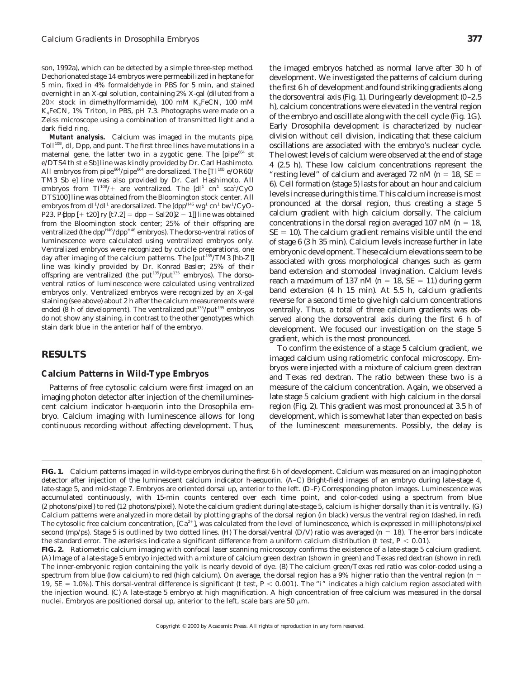son, 1992a), which can be detected by a simple three-step method. Dechorionated stage 14 embryos were permeabilized in heptane for 5 min, fixed in 4% formaldehyde in PBS for 5 min, and stained overnight in an X-gal solution, containing 2% X-gal (diluted from a  $20\times$  stock in dimethylformamide), 100 mM K<sub>3</sub>FeCN, 100 mM K4FeCN, 1% Triton, in PBS, pH 7.3. Photographs were made on a Zeiss microscope using a combination of transmitted light and a dark field ring.

*Mutant analysis.* Calcium was imaged in the mutants *pipe, Toll*10B, *dl, Dpp,* and *punt.* The first three lines have mutations in a maternal gene, the latter two in a zygotic gene. The  $[pipe^{664}$  st e/DTS4 th st e Sb] line was kindly provided by Dr. Carl Hashimoto. All embryos from  $pipe^{664}/pipe^{664}$  are dorsalized. The [Tl<sup>10B</sup> e/OR60/ TM3 Sb e] line was also provided by Dr. Carl Hashimoto. All embryos from  $TI^{10B}/+$  are ventralized. The  $[d]$ <sup>1</sup> cn<sup>1</sup> sca<sup>1</sup>/CyO DTS100] line was obtained from the Bloomington stock center. All embryos from  $dl<sup>1</sup>/dl<sup>1</sup>$  are dorsalized. The [dpp<sup>H46</sup> wg<sup>1</sup> cn<sup>1</sup> bw<sup>1</sup>/CyO-P23, P{dpp  $[+ t20]$  ry  $[t7.2] =$  dpp  $-$  Sal20}2  $-$  1]] line was obtained from the Bloomington stock center; 25% of their offspring are ventralized (the  $dpp$ <sup>H46</sup>/ $dpp$ <sup>H46</sup> embryos). The dorso-ventral ratios of luminescence were calculated using ventralized embryos only. Ventralized embryos were recognized by cuticle preparations, one day after imaging of the calcium patterns. The  $[put^{135}/T M3]$  [hb-Z]] line was kindly provided by Dr. Konrad Basler; 25% of their offspring are ventralized (the *put*135/*put*<sup>135</sup> embryos). The dorsoventral ratios of luminescence were calculated using ventralized embryos only. Ventralized embryos were recognized by an X-gal staining (see above) about 2 h after the calcium measurements were ended (8 h of development). The ventralized  $put^{135}/put^{135}$  embryos do not show any staining, in contrast to the other genotypes which stain dark blue in the anterior half of the embryo.

### **RESULTS**

#### *Calcium Patterns in Wild-Type Embryos*

Patterns of free cytosolic calcium were first imaged on an imaging photon detector after injection of the chemiluminescent calcium indicator *h*-aequorin into the Drosophila embryo. Calcium imaging with luminescence allows for long continuous recording without affecting development. Thus, the imaged embryos hatched as normal larve after 30 h of development. We investigated the patterns of calcium during the first 6 h of development and found striking gradients along the dorsoventral axis (Fig. 1). During early development (0–2.5 h), calcium concentrations were elevated in the ventral region of the embryo and oscillate along with the cell cycle (Fig. 1G). Early Drosophila development is characterized by nuclear division without cell division, indicating that these calcium oscillations are associated with the embryo's nuclear cycle. The lowest levels of calcium were observed at the end of stage 4 (2.5 h). These low calcium concentrations represent the "resting level" of calcium and averaged 72 nM ( $n = 18$ , SE  $=$ 6). Cell formation (stage 5) lasts for about an hour and calcium levels increase during this time. This calcium increase is most pronounced at the dorsal region, thus creating a stage 5 calcium gradient with high calcium dorsally. The calcium concentrations in the dorsal region averaged 107 nM ( $n = 18$ ,  $SE = 10$ ). The calcium gradient remains visible until the end of stage 6 (3 h 35 min). Calcium levels increase further in late embryonic development. These calcium elevations seem to be associated with gross morphological changes such as germ band extension and stomodeal invagination. Calcium levels reach a maximum of 137 nM ( $n = 18$ ,  $SE = 11$ ) during germ band extension (4 h 15 min). At 5.5 h, calcium gradients reverse for a second time to give high calcium concentrations ventrally. Thus, a total of three calcium gradients was observed along the dorsoventral axis during the first 6 h of development. We focused our investigation on the stage 5 gradient, which is the most pronounced.

To confirm the existence of a stage 5 calcium gradient, we imaged calcium using ratiometric confocal microscopy. Embryos were injected with a mixture of calcium green dextran and Texas red dextran. The ratio between these two is a measure of the calcium concentration. Again, we observed a late stage 5 calcium gradient with high calcium in the dorsal region (Fig. 2). This gradient was most pronounced at 3.5 h of development, which is somewhat later than expected on basis of the luminescent measurements. Possibly, the delay is

**FIG. 1.** Calcium patterns imaged in wild-type embryos during the first 6 h of development. Calcium was measured on an imaging photon detector after injection of the luminescent calcium indicator *h*-aequorin. (A–C) Bright-field images of an embryo during late-stage 4, late-stage 5, and mid-stage 7. Embryos are oriented dorsal up, anterior to the left. (D–F) Corresponding photon images. Luminescence was accumulated continuously, with 15-min counts centered over each time point, and color-coded using a spectrum from blue (2 photons/pixel) to red (12 photons/pixel). Note the calcium gradient during late-stage 5, calcium is higher dorsally than it is ventrally. (G) Calcium patterns were analyzed in more detail by plotting graphs of the dorsal region (in black) versus the ventral region (dashed, in red). The cytosolic free calcium concentration,  $[Ca^{2+}]$ , was calculated from the level of luminescence, which is expressed in milliphotons/pixel second (mp/ps). Stage 5 is outlined by two dotted lines. (H) The dorsal/ventral (D/V) ratio was averaged ( $n = 18$ ). The error bars indicate the standard error. The asterisks indicate a significant difference from a uniform calcium distribution ( $t$  test,  $P < 0.01$ ).

**FIG. 2.** Ratiometric calcium imaging with confocal laser scanning microscopy confirms the existence of a late-stage 5 calcium gradient. (A) Image of a late-stage 5 embryo injected with a mixture of calcium green dextran (shown in green) and Texas red dextran (shown in red). The inner-embryonic region containing the yolk is nearly devoid of dye. (B) The calcium green/Texas red ratio was color-coded using a spectrum from blue (low calcium) to red (high calcium). On average, the dorsal region has a 9% higher ratio than the ventral region (*n* 5 19,  $SE = 1.0\%$ ). This dorsal-ventral difference is significant (*t* test,  $P < 0.001$ ). The "i" indicates a high calcium region associated with the injection wound. (C) A late-stage 5 embryo at high magnification. A high concentration of free calcium was measured in the dorsal nuclei. Embryos are positioned dorsal up, anterior to the left, scale bars are 50  $\mu$ m.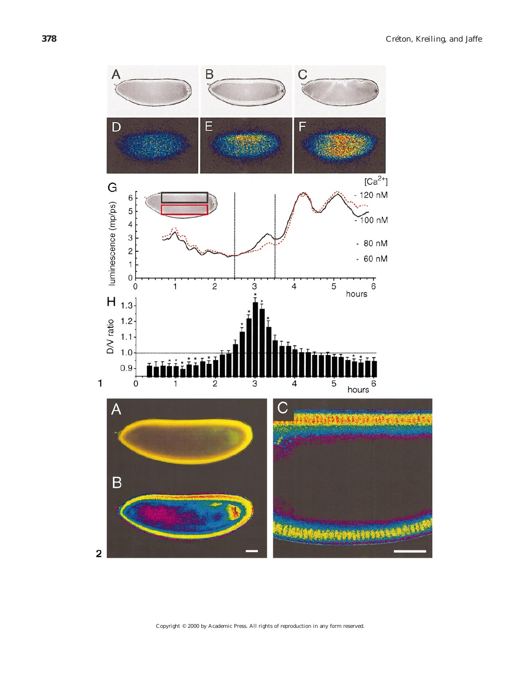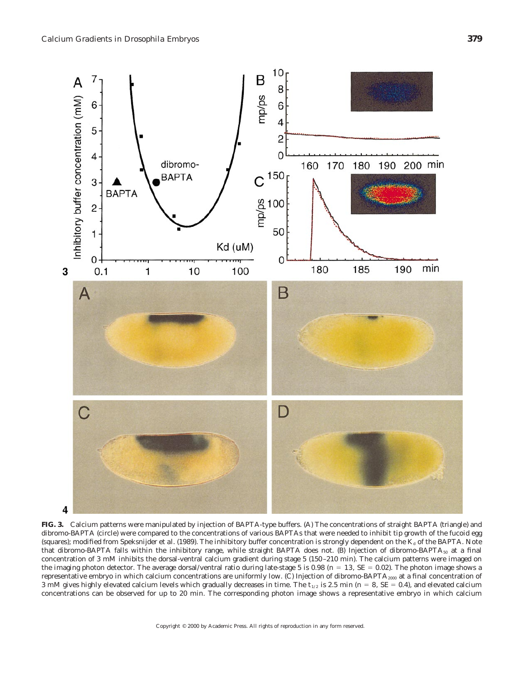

**FIG. 3.** Calcium patterns were manipulated by injection of BAPTA-type buffers. (A) The concentrations of straight BAPTA (triangle) and dibromo-BAPTA (circle) were compared to the concentrations of various BAPTAs that were needed to inhibit tip growth of the fucoid egg (squares); modified from Speksnijder *et al.* (1989). The inhibitory buffer concentration is strongly dependent on the  $K_d$  of the BAPTA. Note that dibromo-BAPTA falls within the inhibitory range, while straight BAPTA does not. (B) Injection of dibromo-BAPTA<sub>50</sub> at a final concentration of 3 mM inhibits the dorsal-ventral calcium gradient during stage 5 (150–210 min). The calcium patterns were imaged on the imaging photon detector. The average dorsal/ventral ratio during late-stage 5 is  $0.98$  ( $n = 13$ , SE = 0.02). The photon image shows a representative embryo in which calcium concentrations are uniformly low. (C) Injection of dibromo-BAPTA<sub>2000</sub> at a final concentration of 3 mM gives highly elevated calcium levels which gradually decreases in time. The  $t_{1/2}$  is 2.5 min ( $n = 8$ , SE = 0.4), and elevated calcium concentrations can be observed for up to 20 min. The corresponding photon image shows a representative embryo in which calcium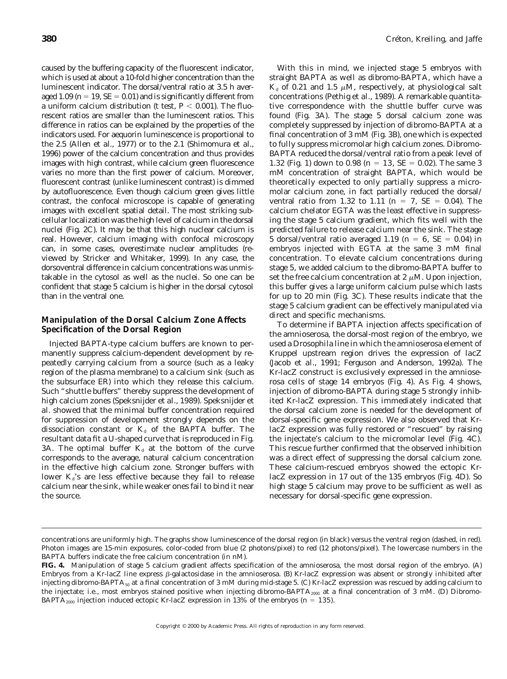caused by the buffering capacity of the fluorescent indicator, which is used at about a 10-fold higher concentration than the luminescent indicator. The dorsal/ventral ratio at 3.5 h averaged 1.09 ( $n = 19$ ,  $SE = 0.01$ ) and is significantly different from a uniform calcium distribution ( $t$  test,  $P < 0.001$ ). The fluorescent ratios are smaller than the luminescent ratios. This difference in ratios can be explained by the properties of the indicators used. For aequorin luminescence is proportional to the 2.5 (Allen *et al.,* 1977) or to the 2.1 (Shimomura *et al.,* 1996) power of the calcium concentration and thus provides images with high contrast, while calcium green fluorescence varies no more than the first power of calcium. Moreover, fluorescent contrast (unlike luminescent contrast) is dimmed by autofluorescence. Even though calcium green gives little contrast, the confocal microscope is capable of generating images with excellent spatial detail. The most striking subcellular localization was the high level of calcium in the dorsal nuclei (Fig. 2C). It may be that this high nuclear calcium is real. However, calcium imaging with confocal microscopy can, in some cases, overestimate nuclear amplitudes (reviewed by Stricker and Whitaker, 1999). In any case, the dorsoventral difference in calcium concentrations was unmistakable in the cytosol as well as the nuclei. So one can be confident that stage 5 calcium is higher in the dorsal cytosol than in the ventral one.

#### *Manipulation of the Dorsal Calcium Zone Affects Specification of the Dorsal Region*

Injected BAPTA-type calcium buffers are known to permanently suppress calcium-dependent development by repeatedly carrying calcium from a source (such as a leaky region of the plasma membrane) to a calcium sink (such as the subsurface ER) into which they release this calcium. Such "shuttle buffers" thereby suppress the development of high calcium zones (Speksnijder *et al.,* 1989). Speksnijder *et al.* showed that the minimal buffer concentration required for suppression of development strongly depends on the dissociation constant or  $K_d$  of the BAPTA buffer. The resultant data fit a U-shaped curve that is reproduced in Fig. 3A. The optimal buffer  $K_d$  at the bottom of the curve corresponds to the average, natural calcium concentration in the effective high calcium zone. Stronger buffers with lower  $K_d$ 's are less effective because they fail to release calcium near the sink, while weaker ones fail to bind it near the source.

With this in mind, we injected stage 5 embryos with straight BAPTA as well as dibromo-BAPTA, which have a  $K_d$  of 0.21 and 1.5  $\mu$ M, respectively, at physiological salt concentrations (Pethig *et al.,* 1989). A remarkable quantitative correspondence with the shuttle buffer curve was found (Fig. 3A). The stage 5 dorsal calcium zone was completely suppressed by injection of dibromo-BAPTA at a final concentration of 3 mM (Fig. 3B), one which is expected to fully suppress micromolar high calcium zones. Dibromo-BAPTA reduced the dorsal/ventral ratio from a peak level of 1.32 (Fig. 1) down to 0.98 ( $n = 13$ , SE = 0.02). The same 3 mM concentration of straight BAPTA, which would be theoretically expected to only partially suppress a micromolar calcium zone, in fact partially reduced the dorsal/ ventral ratio from 1.32 to 1.11 ( $n = 7$ , SE = 0.04). The calcium chelator EGTA was the least effective in suppressing the stage 5 calcium gradient, which fits well with the predicted failure to release calcium near the sink. The stage 5 dorsal/ventral ratio averaged 1.19 ( $n = 6$ , SE = 0.04) in embryos injected with EGTA at the same 3 mM final concentration. To elevate calcium concentrations during stage 5, we added calcium to the dibromo-BAPTA buffer to set the free calcium concentration at  $2 \mu M$ . Upon injection, this buffer gives a large uniform calcium pulse which lasts for up to 20 min (Fig. 3C). These results indicate that the stage 5 calcium gradient can be effectively manipulated via direct and specific mechanisms.

To determine if BAPTA injection affects specification of the amnioserosa, the dorsal-most region of the embryo, we used a Drosophila line in which the amnioserosa element of *Kruppel* upstream region drives the expression of *lacZ* (Jacob *et al.,* 1991; Ferguson and Anderson, 1992a). The *Kr-lacZ* construct is exclusively expressed in the amnioserosa cells of stage 14 embryos (Fig. 4). As Fig. 4 shows, injection of dibromo-BAPTA during stage 5 strongly inhibited *Kr-lacZ* expression. This immediately indicated that the dorsal calcium zone is needed for the development of dorsal-specific gene expression. We also observed that *KrlacZ* expression was fully restored or "rescued" by raising the injectate's calcium to the micromolar level (Fig. 4C). This rescue further confirmed that the observed inhibition was a direct effect of suppressing the dorsal calcium zone. These calcium-rescued embryos showed the ectopic *KrlacZ* expression in 17 out of the 135 embryos (Fig. 4D). So high stage 5 calcium may prove to be sufficient as well as necessary for dorsal-specific gene expression.

concentrations are uniformly high. The graphs show luminescence of the dorsal region (in black) versus the ventral region (dashed, in red). Photon images are 15-min exposures, color-coded from blue (2 photons/pixel) to red (12 photons/pixel). The lowercase numbers in the BAPTA buffers indicate the free calcium concentration (in nM).

**FIG. 4.** Manipulation of stage 5 calcium gradient affects specification of the amnioserosa, the most dorsal region of the embryo. (A) Embryos from a *Kr-lacZ* line express  $\beta$ -galactosidase in the amnioserosa. (B) *Kr-lacZ* expression was absent or strongly inhibited after injecting dibromo-BAPTA<sub>50</sub> at a final concentration of 3 mM during mid-stage 5. (C) *Kr-lacZ* expression was rescued by adding calcium to the injectate; i.e., most embryos stained positive when injecting dibromo-BAPTA<sub>2000</sub> at a final concentration of 3 mM. (D) Dibromo-BAPTA<sub>2000</sub> injection induced ectopic *Kr-lacZ* expression in 13% of the embryos ( $n = 135$ ).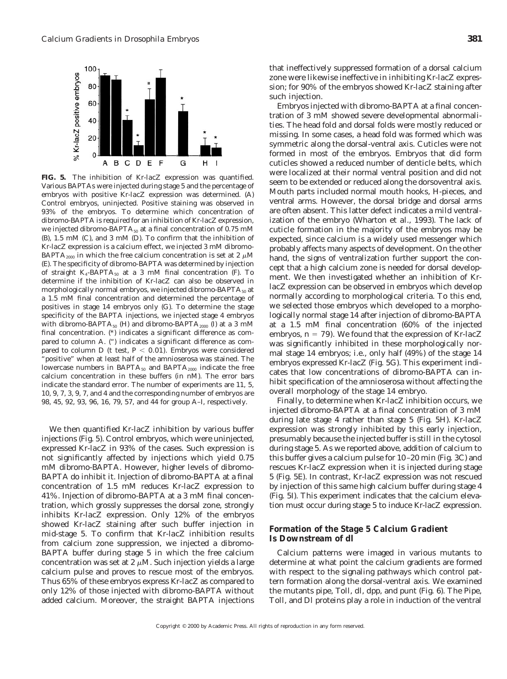

**FIG. 5.** The inhibition of *Kr-lacZ* expression was quantified. Various BAPTAs were injected during stage 5 and the percentage of embryos with positive *Kr-lacZ* expression was determined. (A) Control embryos, uninjected. Positive staining was observed in 93% of the embryos. To determine which concentration of dibromo-BAPTA is required for an inhibition of *Kr-lacZ* expression, we injected dibromo-BAPTA $_{50}$  at a final concentration of 0.75 mM (B), 1.5 mM (C), and 3 mM (D). To confirm that the inhibition of *Kr-lacZ* expression is a calcium effect, we injected 3 mM dibromo-BAPTA<sub>2000</sub> in which the free calcium concentration is set at 2  $\mu$ M (E). The specificity of dibromo-BAPTA was determined by injection of straight  $K_4$ -BAPTA<sub>50</sub> at a 3 mM final concentration (F). To determine if the inhibition of *Kr-lacZ* can also be observed in morphologically normal embryos, we injected dibromo-BAPTA<sub>50</sub> at a 1.5 mM final concentration and determined the percentage of positives in stage 14 embryos only (G). To determine the stage specificity of the BAPTA injections, we injected stage 4 embryos with dibromo-BAPTA<sub>50</sub> (H) and dibromo-BAPTA<sub>2000</sub> (I) at a 3 mM final concentration. (\*) indicates a significant difference as compared to column A. (") indicates a significant difference as compared to column D ( $t$  test,  $P < 0.01$ ). Embryos were considered "positive" when at least half of the amnioserosa was stained. The lowercase numbers in BAPTA $_{50}$  and BAPTA<sub>2000</sub> indicate the free calcium concentration in these buffers (in nM). The error bars indicate the standard error. The number of experiments are 11, 5, 10, 9, 7, 3, 9, 7, and 4 and the corresponding number of embryos are 98, 45, 92, 93, 96, 16, 79, 57, and 44 for group A–I, respectively.

We then quantified *Kr-lacZ* inhibition by various buffer injections (Fig. 5). Control embryos, which were uninjected, expressed *Kr-lacZ* in 93% of the cases. Such expression is not significantly affected by injections which yield 0.75 mM dibromo-BAPTA. However, higher levels of dibromo-BAPTA do inhibit it. Injection of dibromo-BAPTA at a final concentration of 1.5 mM reduces *Kr-lacZ* expression to 41%. Injection of dibromo-BAPTA at a 3 mM final concentration, which grossly suppresses the dorsal zone, strongly inhibits *Kr-lacZ* expression. Only 12% of the embryos showed *Kr-lacZ* staining after such buffer injection in mid-stage 5. To confirm that *Kr-lacZ* inhibition results from calcium zone suppression, we injected a dibromo-BAPTA buffer during stage 5 in which the free calcium concentration was set at  $2 \mu M$ . Such injection yields a large calcium pulse and proves to rescue most of the embryos. Thus 65% of these embryos express *Kr-lacZ* as compared to only 12% of those injected with dibromo-BAPTA without added calcium. Moreover, the straight BAPTA injections that ineffectively suppressed formation of a dorsal calcium zone were likewise ineffective in inhibiting *Kr-lacZ* expression; for 90% of the embryos showed *Kr-lacZ* staining after such injection.

Embryos injected with dibromo-BAPTA at a final concentration of 3 mM showed severe developmental abnormalities. The head fold and dorsal folds were mostly reduced or missing. In some cases, a head fold was formed which was symmetric along the dorsal-ventral axis. Cuticles were not formed in most of the embryos. Embryos that did form cuticles showed a reduced number of denticle belts, which were localized at their normal ventral position and did not seem to be extended or reduced along the dorsoventral axis. Mouth parts included normal mouth hooks, H-pieces, and ventral arms. However, the dorsal bridge and dorsal arms are often absent. This latter defect indicates a mild ventralization of the embryo (Wharton *et al.,* 1993). The lack of cuticle formation in the majority of the embryos may be expected, since calcium is a widely used messenger which probably affects many aspects of development. On the other hand, the signs of ventralization further support the concept that a high calcium zone is needed for dorsal development. We then investigated whether an inhibition of *KrlacZ* expression can be observed in embryos which develop normally according to morphological criteria. To this end, we selected those embryos which developed to a morphologically normal stage 14 after injection of dibromo-BAPTA at a 1.5 mM final concentration (60% of the injected embryos,  $n = 79$ ). We found that the expression of  $Kr$ -lacZ was significantly inhibited in these morphologically normal stage 14 embryos; i.e., only half (49%) of the stage 14 embryos expressed *Kr-lacZ* (Fig. 5G). This experiment indicates that low concentrations of dibromo-BAPTA can inhibit specification of the amnioserosa without affecting the overall morphology of the stage 14 embryo.

Finally, to determine when *Kr-lacZ* inhibition occurs, we injected dibromo-BAPTA at a final concentration of 3 mM during late stage 4 rather than stage 5 (Fig. 5H). *Kr-lacZ* expression was strongly inhibited by this early injection, presumably because the injected buffer is still in the cytosol during stage 5. As we reported above, addition of calcium to this buffer gives a calcium pulse for 10–20 min (Fig. 3C) and rescues *Kr-lacZ* expression when it is injected during stage 5 (Fig. 5E). In contrast, *Kr-lacZ* expression was not rescued by injection of this same high calcium buffer during stage 4 (Fig. 5I). This experiment indicates that the calcium elevation must occur during stage 5 to induce *Kr-lacZ* expression.

#### *Formation of the Stage 5 Calcium Gradient Is Downstream of dl*

Calcium patterns were imaged in various mutants to determine at what point the calcium gradients are formed with respect to the signaling pathways which control pattern formation along the dorsal-ventral axis. We examined the mutants *pipe, Toll, dl, dpp,* and *punt* (Fig. 6). The Pipe, Toll, and Dl proteins play a role in induction of the ventral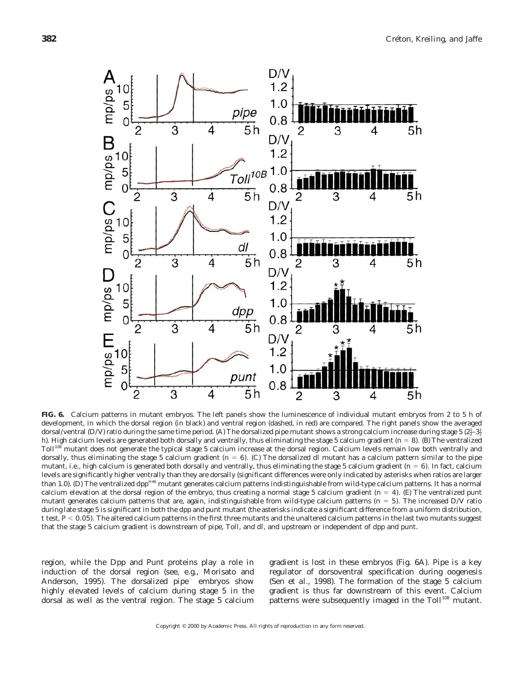

**FIG. 6.** Calcium patterns in mutant embryos. The left panels show the luminescence of individual mutant embryos from 2 to 5 h of development, in which the dorsal region (in black) and ventral region (dashed, in red) are compared. The right panels show the averaged dorsal/ventral (D/V) ratio during the same time period. (A) The dorsalized *pipe* mutant shows a strong calcium increase during stage 5 (2 $\frac{1}{2}$ –3 $\frac{1}{2}$ h). High calcium levels are generated both dorsally and ventrally, thus eliminating the stage 5 calcium gradient (*n* 5 8). (B) The ventralized *Toll*10B mutant does not generate the typical stage 5 calcium increase at the dorsal region. Calcium levels remain low both ventrally and dorsally, thus eliminating the stage 5 calcium gradient  $(n = 6)$ . (C) The dorsalized *dl* mutant has a calcium pattern similar to the *pipe* mutant, i.e., high calcium is generated both dorsally and ventrally, thus eliminating the stage 5 calcium gradient  $(n = 6)$ . In fact, calcium levels are significantly higher ventrally than they are dorsally (significant differences were only indicated by asterisks when ratios are larger than 1.0). (D) The ventralized *dpp*<sup>H46</sup> mutant generates calcium patterns indistinguishable from wild-type calcium patterns. It has a normal calcium elevation at the dorsal region of the embryo, thus creating a normal stage 5 calcium gradient  $(n = 4)$ . (E) The ventralized *punt* mutant generates calcium patterns that are, again, indistinguishable from wild-type calcium patterns  $(n = 5)$ . The increased D/V ratio during late stage 5 is significant in both the *dpp* and *punt* mutant (the asterisks indicate a significant difference from a uniform distribution,  $t$  test,  $P < 0.05$ ). The altered calcium patterns in the first three mutants and the unaltered calcium patterns in the last two mutants suggest that the stage 5 calcium gradient is downstream of *pipe, Toll,* and *dl,* and upstream or independent of *dpp* and *punt.*

region, while the Dpp and Punt proteins play a role in induction of the dorsal region (see, e.g., Morisato and Anderson, 1995). The dorsalized *pipe* embryos show highly elevated levels of calcium during stage 5 in the dorsal as well as the ventral region. The stage 5 calcium gradient is lost in these embryos (Fig. 6A). Pipe is a key regulator of dorsoventral specification during oogenesis (Sen *et al.,* 1998). The formation of the stage 5 calcium gradient is thus far downstream of this event. Calcium patterns were subsequently imaged in the  $T o l l^{10B}$  mutant.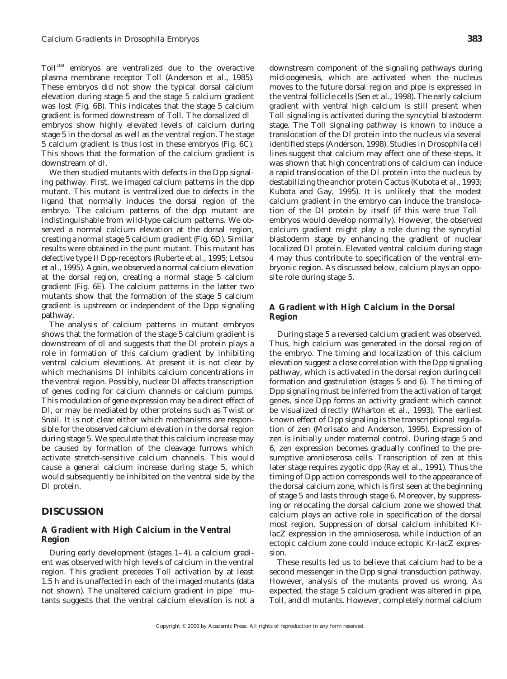*Toll*10B embryos are ventralized due to the overactive plasma membrane receptor Toll (Anderson *et al.,* 1985). These embryos did not show the typical dorsal calcium elevation during stage 5 and the stage 5 calcium gradient was lost (Fig. 6B). This indicates that the stage 5 calcium gradient is formed downstream of *Toll*. The dorsalized  $dl^$ embryos show highly elevated levels of calcium during stage 5 in the dorsal as well as the ventral region. The stage 5 calcium gradient is thus lost in these embryos (Fig. 6C). This shows that the formation of the calcium gradient is downstream of *dl.*

We then studied mutants with defects in the Dpp signaling pathway. First, we imaged calcium patterns in the *dpp* mutant. This mutant is ventralized due to defects in the ligand that normally induces the dorsal region of the embryo. The calcium patterns of the *dpp* mutant are indistinguishable from wild-type calcium patterns. We observed a normal calcium elevation at the dorsal region, creating a normal stage 5 calcium gradient (Fig. 6D). Similar results were obtained in the *punt* mutant. This mutant has defective type II Dpp-receptors (Ruberte *et al.,* 1995; Letsou *et al.,* 1995). Again, we observed a normal calcium elevation at the dorsal region, creating a normal stage 5 calcium gradient (Fig. 6E). The calcium patterns in the latter two mutants show that the formation of the stage 5 calcium gradient is upstream or independent of the Dpp signaling pathway.

The analysis of calcium patterns in mutant embryos shows that the formation of the stage 5 calcium gradient is downstream of *dl* and suggests that the Dl protein plays a role in formation of this calcium gradient by inhibiting ventral calcium elevations. At present it is not clear by which mechanisms Dl inhibits calcium concentrations in the ventral region. Possibly, nuclear Dl affects transcription of genes coding for calcium channels or calcium pumps. This modulation of gene expression may be a direct effect of Dl, or may be mediated by other proteins such as Twist or Snail. It is not clear either which mechanisms are responsible for the observed calcium elevation in the dorsal region during stage 5. We speculate that this calcium increase may be caused by formation of the cleavage furrows which activate stretch-sensitive calcium channels. This would cause a general calcium increase during stage 5, which would subsequently be inhibited on the ventral side by the Dl protein.

#### **DISCUSSION**

#### *A Gradient with High Calcium in the Ventral Region*

During early development (stages 1–4), a calcium gradient was observed with high levels of calcium in the ventral region. This gradient precedes Toll activation by at least 1.5 h and is unaffected in each of the imaged mutants (data not shown). The unaltered calcium gradient in *pipe*<sup>-</sup> mutants suggests that the ventral calcium elevation is not a downstream component of the signaling pathways during mid-oogenesis, which are activated when the nucleus moves to the future dorsal region and *pipe* is expressed in the ventral follicle cells (Sen *et al.,* 1998). The early calcium gradient with ventral high calcium is still present when Toll signaling is activated during the syncytial blastoderm stage. The Toll signaling pathway is known to induce a translocation of the Dl protein into the nucleus via several identified steps (Anderson, 1998). Studies in Drosophila cell lines suggest that calcium may affect one of these steps. It was shown that high concentrations of calcium can induce a rapid translocation of the Dl protein into the nucleus by destabilizing the anchor protein Cactus (Kubota *et al.,* 1993; Kubota and Gay, 1995). It is unlikely that the modest calcium gradient in the embryo can induce the translocation of the Dl protein by itself (if this were true Toll<sup>-</sup> embryos would develop normally). However, the observed calcium gradient might play a role during the syncytial blastoderm stage by enhancing the gradient of nuclear localized Dl protein. Elevated ventral calcium during stage 4 may thus contribute to specification of the ventral embryonic region. As discussed below, calcium plays an opposite role during stage 5.

#### *A Gradient with High Calcium in the Dorsal Region*

During stage 5 a reversed calcium gradient was observed. Thus, high calcium was generated in the dorsal region of the embryo. The timing and localization of this calcium elevation suggest a close correlation with the Dpp signaling pathway, which is activated in the dorsal region during cell formation and gastrulation (stages 5 and 6). The timing of Dpp signaling must be inferred from the activation of target genes, since Dpp forms an activity gradient which cannot be visualized directly (Wharton *et al.,* 1993). The earliest known effect of Dpp signaling is the transcriptional regulation of *zen* (Morisato and Anderson, 1995). Expression of *zen* is initially under maternal control. During stage 5 and 6, *zen* expression becomes gradually confined to the presumptive amnioserosa cells. Transcription of *zen* at this later stage requires zygotic *dpp* (Ray *et al.,* 1991). Thus the timing of Dpp action corresponds well to the appearance of the dorsal calcium zone, which is first seen at the beginning of stage 5 and lasts through stage 6. Moreover, by suppressing or relocating the dorsal calcium zone we showed that calcium plays an active role in specification of the dorsal most region. Suppression of dorsal calcium inhibited *KrlacZ* expression in the amnioserosa, while induction of an ectopic calcium zone could induce ectopic *Kr-lacZ* expression.

These results led us to believe that calcium had to be a second messenger in the Dpp signal transduction pathway. However, analysis of the mutants proved us wrong. As expected, the stage 5 calcium gradient was altered in *pipe, Toll,* and *dl* mutants. However, completely normal calcium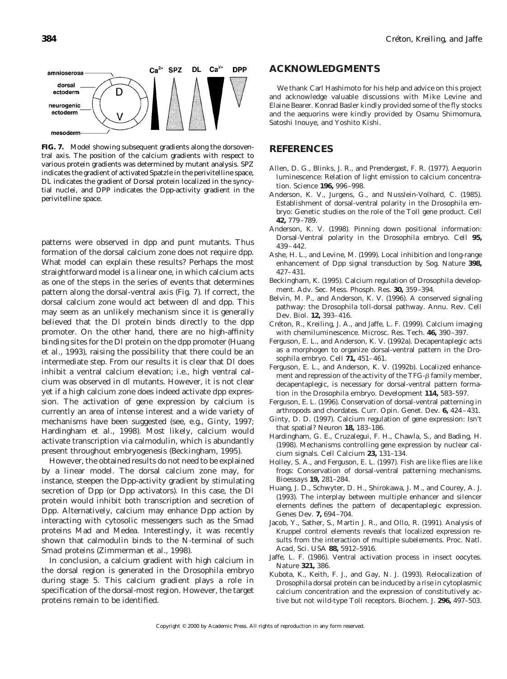

**FIG. 7.** Model showing subsequent gradients along the dorsoventral axis. The position of the calcium gradients with respect to various protein gradients was determined by mutant analysis. SPZ indicates the gradient of activated Spatzle in the perivitelline space, DL indicates the gradient of Dorsal protein localized in the syncytial nuclei, and DPP indicates the Dpp-activity gradient in the perivitelline space.

patterns were observed in *dpp* and *punt* mutants. Thus formation of the dorsal calcium zone does not require *dpp.* What model can explain these results? Perhaps the most straightforward model is a linear one, in which calcium acts as one of the steps in the series of events that determines pattern along the dorsal-ventral axis (Fig. 7). If correct, the dorsal calcium zone would act between *dl* and *dpp.* This may seem as an unlikely mechanism since it is generally believed that the Dl protein binds directly to the *dpp* promoter. On the other hand, there are no high-affinity binding sites for the Dl protein on the *dpp* promoter (Huang *et al.,* 1993), raising the possibility that there could be an intermediate step. From our results it is clear that Dl does inhibit a ventral calcium elevation; i.e., high ventral calcium was observed in *dl* mutants. However, it is not clear yet if a high calcium zone does indeed activate *dpp* expression. The activation of gene expression by calcium is currently an area of intense interest and a wide variety of mechanisms have been suggested (see, e.g., Ginty, 1997; Hardingham *et al.,* 1998). Most likely, calcium would activate transcription via calmodulin, which is abundantly present throughout embryogenesis (Beckingham, 1995).

However, the obtained results do not need to be explained by a linear model. The dorsal calcium zone may, for instance, steepen the Dpp-activity gradient by stimulating secretion of Dpp (or Dpp activators). In this case, the Dl protein would inhibit both transcription and secretion of Dpp. Alternatively, calcium may enhance Dpp action by interacting with cytosolic messengers such as the *Smad* proteins Mad and Medea. Interestingly, it was recently shown that calmodulin binds to the N-terminal of such *Smad* proteins (Zimmerman *et al.,* 1998).

In conclusion, a calcium gradient with high calcium in the dorsal region is generated in the Drosophila embryo during stage 5. This calcium gradient plays a role in specification of the dorsal-most region. However, the target proteins remain to be identified.

#### **ACKNOWLEDGMENTS**

We thank Carl Hashimoto for his help and advice on this project and acknowledge valuable discussions with Mike Levine and Elaine Bearer. Konrad Basler kindly provided some of the fly stocks and the aequorins were kindly provided by Osamu Shimomura, Satoshi Inouye, and Yoshito Kishi.

#### **REFERENCES**

- Allen, D. G., Blinks, J. R., and Prendergast, F. R. (1977). Aequorin luminescence: Relation of light emission to calcium concentration. *Science* **196,** 996–998.
- Anderson, K. V., Jurgens, G., and Nusslein-Volhard, C. (1985). Establishment of dorsal-ventral polarity in the Drosophila embryo: Genetic studies on the role of the Toll gene product. *Cell* **42,** 779–789.
- Anderson, K. V. (1998). Pinning down positional information: Dorsal-Ventral polarity in the Drosophila embryo. *Cell* **95,** 439–442.
- Ashe, H. L., and Levine, M. (1999). Local inhibition and long-range enhancement of Dpp signal transduction by Sog. *Nature* **398,** 427–431.
- Beckingham, K. (1995). Calcium regulation of Drosophila development. *Adv. Sec. Mess. Phosph. Res.* **30,** 359–394.
- Belvin, M. P., and Anderson, K. V. (1996). A conserved signaling pathway: the Drosophila toll-dorsal pathway. *Annu. Rev. Cell Dev. Biol.* **12,** 393–416.
- Créton, R., Kreiling, J. A., and Jaffe, L. F. (1999). Calcium imaging with chemiluminescence. *Microsc. Res. Tech.* **46,** 390–397.
- Ferguson, E. L., and Anderson, K. V. (1992a). Decapentaplegic acts as a morphogen to organize dorsal-ventral pattern in the Drosophila embryo. *Cell* **71,** 451–461.
- Ferguson, E. L., and Anderson, K. V. (1992b). Localized enhancement and repression of the activity of the TFG- $\beta$  family member, decapentaplegic, is necessary for dorsal-ventral pattern formation in the Drosophila embryo. *Development* **114,** 583–597.
- Ferguson, E. L. (1996). Conservation of dorsal-ventral patterning in arthropods and chordates. *Curr. Opin. Genet. Dev.* **6,** 424–431.
- Ginty, D. D. (1997). Calcium regulation of gene expression: Isn't that spatial? *Neuron* **18,** 183–186.
- Hardingham, G. E., Cruzalegui, F. H., Chawla, S., and Bading, H. (1998). Mechanisms controlling gene expression by nuclear calcium signals. *Cell Calcium* **23,** 131–134.
- Holley, S. A., and Ferguson, E. L. (1997). Fish are like flies are like frogs: Conservation of dorsal-ventral patterning mechanisms. *Bioessays* **19,** 281–284.
- Huang, J. D., Schwyter, D. H., Shirokawa, J. M., and Courey, A. J. (1993). The interplay between multiple enhancer and silencer elements defines the pattern of decapentaplegic expression. *Genes Dev.* **7,** 694–704.
- Jacob, Y., Sather, S., Martin J. R., and Ollo, R. (1991). Analysis of Kruppel control elements reveals that localized expression results from the interaction of multiple subelements. *Proc. Natl. Acad, Sci. USA* **88,** 5912–5916.
- Jaffe, L. F. (1986). Ventral activation process in insect oocytes. *Nature* **321,** 386.
- Kubota, K., Keith, F. J., and Gay, N. J. (1993). Relocalization of Drosophila dorsal protein can be induced by a rise in cytoplasmic calcium concentration and the expression of constitutively active but not wild-type Toll receptors. *Biochem. J.* **296,** 497–503.